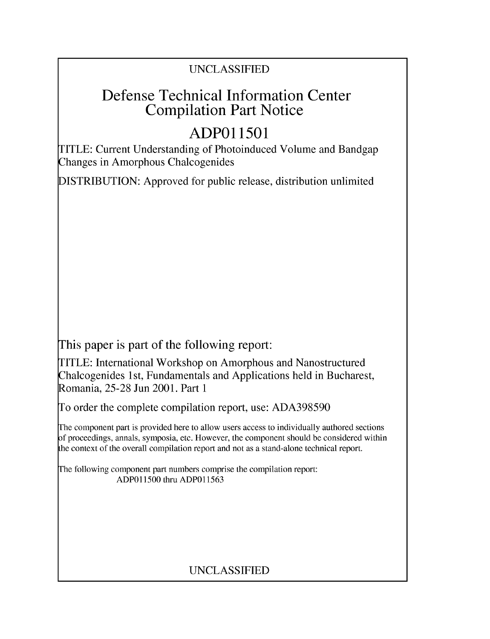# UNCLASSIFIED

# Defense Technical Information Center Compilation Part Notice

# **ADPO 11501**

TITLE: Current Understanding of Photoinduced Volume and Bandgap Changes in Amorphous Chalcogenides

DISTRIBUTION: Approved for public release, distribution unlimited

This paper is part of the following report:

TITLE: International Workshop on Amorphous and Nanostructured Chalcogenides 1 st, Fundamentals and Applications held in Bucharest, Romania, 25-28 Jun 2001. Part 1

To order the complete compilation report, use: ADA398590

The component part is provided here to allow users access to individually authored sections f proceedings, annals, symposia, etc. However, the component should be considered within [he context of the overall compilation report and not as a stand-alone technical report.

The following component part numbers comprise the compilation report: ADPO11500 thru ADP011563

# UNCLASSIFIED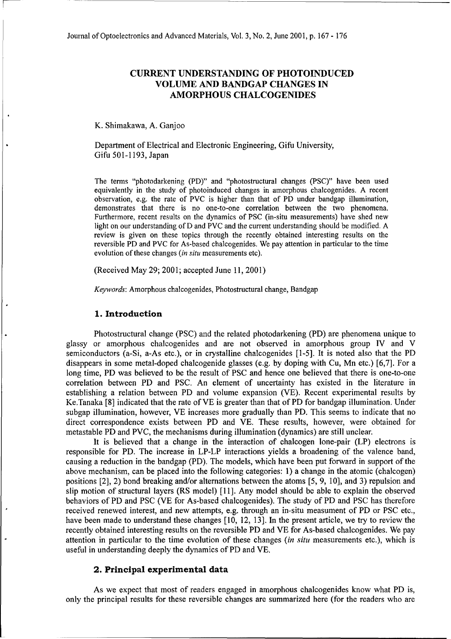# CURRENT **UNDERSTANDING** OF **PHOTOINDUCED VOLUME AND BANDGAP CHANGES IN** AMORPHOUS **CHALCOGENIDES**

K. Shimakawa, **A.** Ganjoo

Department of Electrical and Electronic Engineering, Gifu University, Gifu 501-1193, Japan

The terms "photodarkening (PD)" and "photostructural changes (PSC)" have been used equivalently in the study of photoinduced changes in amorphous chalcogenides. A recent observation, e.g. the rate of PVC is higher than that of PD under bandgap illumination, demonstrates that there is no one-to-one correlation between the two phenomena. Furthermore, recent results on the dynamics of PSC (in-situ measurements) have shed new light on our understanding of D and PVC and the current understanding should be modified. A review is given on these topics through the recently obtained interesting results on the reversible PD and PVC for As-based chalcogenides. We pay attention in particular to the time evolution of these changes *(in situ* measurements etc).

(Received May 29; 2001; accepted June 11, 2001)

*Keywords:* Amorphous chalcogenides, Photostructural change, Bandgap

### 1. Introduction

Photostructural change (PSC) and the related photodarkening (PD) are phenomena unique to glassy or amorphous chalcogenides and are not observed in amorphous group IV and V semiconductors (a-Si, a-As etc.), or in crystalline chalcogenides [1-5]. It is noted also that the PD disappears in some metal-doped chalcogenide glasses (e.g. by doping with Cu, Mn etc.) [6,7]. For a long time, PD was believed to be the result of PSC and hence one believed that there is one-to-one correlation between PD and PSC. An element of uncertainty has existed in the literature in establishing a relation between PD and volume expansion (VE). Recent experimental results by Ke.Tanaka [8] indicated that the rate of VE is greater than that of PD for bandgap illumination. Under subgap illumination, however, VE increases more gradually than PD. This seems to indicate that no direct correspondence exists between PD and VE. These results, however, were obtained for metastable PD and PVC, the mechanisms during illumination (dynamics) are still unclear.

It is believed that a change in the interaction of chalcogen lone-pair (LP) electrons is responsible for PD. The increase in LP-LP interactions yields a broadening of the valence band, causing a reduction in the bandgap (PD). The models, which have been put forward in support of the above mechanism, can be placed into the following categories: 1) a change in the atomic (chalcogen) positions [2], 2) bond breaking and/or alternations between the atoms [5, 9, 10], and 3) repulsion and slip motion of structural layers (RS model) [11]. Any model should be able to explain the observed behaviors of PD and PSC (VE for As-based chalcogenides). The study of PD and PSC has therefore received renewed interest, and new attempts, e.g. through an in-situ measument of PD or PSC etc., have been made to understand these changes [10, 12, 13]. In the present article, we try to review the recently obtained interesting results on the reversible PD and VE for As-based chalcogenides. We pay attention in particular to the time evolution of these changes *(in situ* measurements etc.), which is useful in understanding deeply the dynamics of PD and VE.

## 2. Principal experimental data

As we expect that most of readers engaged in amorphous chalcogenides know what PD is, only the principal results for these reversible changes are summarized here (for the readers who are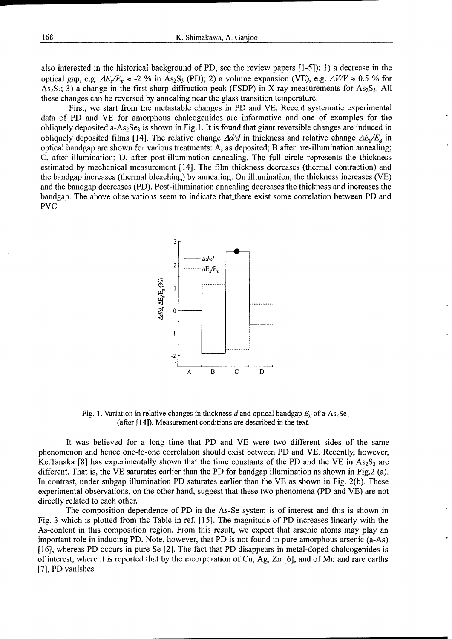also interested in the historical background of PD, see the review papers [1-5]): 1) a decrease in the optical gap, e.g.  $\Delta E_g/E_g \approx -2$  % in As<sub>2</sub>S<sub>3</sub> (PD); 2) a volume expansion (VE), e.g.  $\Delta V/V \approx 0.5$  % for  $As_2S_3$ ; 3) a change in the first sharp diffraction peak (FSDP) in X-ray measurements for As<sub>2</sub>S<sub>3</sub>. All these changes can be reversed by annealing near the glass transition temperature.

First, we start from the metastable changes in PD and VE. Recent systematic experimental data of PD and VE for amorphous chalcogenides are informative and one of examples for the obliquely deposited a-As<sub>2</sub>Se<sub>3</sub> is shown in Fig. 1. It is found that giant reversible changes are induced in obliquely deposited films [14]. The relative change  $\Delta d/d$  in thickness and relative change  $\Delta E_{g}/E_{g}$  in optical bandgap are shown for various treatments: A, as deposited; B after pre-illumination annealing; C, after illumination; D, after post-illumination annealing. The full circle represents the thickness estimated by mechanical measurement [14]. The film thickness decreases (thermal contraction) and the bandgap increases (thermal bleaching) by annealing. On illumination, the thickness increases (VE) and the bandgap decreases (PD). Post-illumination annealing decreases the thickness and increases the bandgap. The above observations seem to indicate that there exist some correlation between PD and PVC.



Fig. 1. Variation in relative changes in thickness d and optical bandgap  $E_g$  of a-As<sub>2</sub>Se<sub>3</sub> (after [14]). Measurement conditions are described in the text.

It was believed for a long time that PD and VE were two different sides of the same phenomenon and hence one-to-one correlation should exist between PD and VE. Recently, however, Ke.Tanaka [8] has experimentally shown that the time constants of the PD and the VE in  $As_2S_3$  are different. That is, the VE saturates earlier than the PD for bandgap illumination as shown in Fig.2 (a). In contrast, under subgap illumination PD saturates earlier than the VE as shown in Fig. 2(b). These experimental observations, on the other hand, suggest that these two phenomena (PD and VE) are not directly related to each other.

The composition dependence of PD in the As-Se system is of interest and this is shown in Fig. 3 which is plotted from the Table in ref. [15]. The magnitude of PD increases linearly with the As-content in this composition region. From this result, we expect that arsenic atoms may play an important role in inducing PD. Note, however, that PD is not found in pure amorphous arsenic (a-As) [16], whereas PD occurs in pure Se [2]. The fact that PD disappears in metal-doped chalcogenides is of interest, where it is reported that by the incorporation of Cu, Ag, Zn [6], and of Mn and rare earths [7], PD vanishes.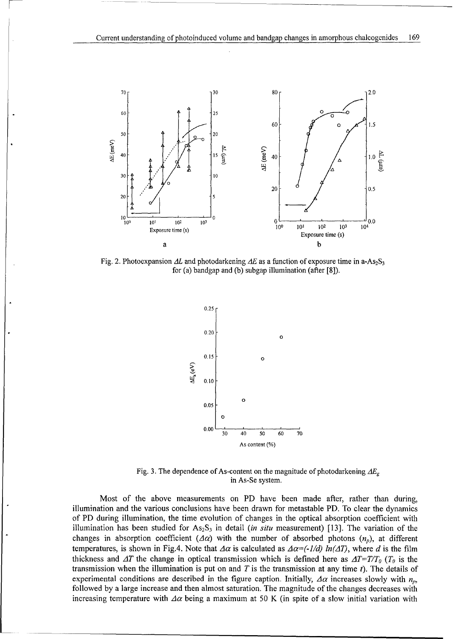

Fig. 2. Photoexpansion  $\Delta L$  and photodarkening  $\Delta E$  as a function of exposure time in a-As<sub>2</sub>S<sub>3</sub> for (a) bandgap and (b) subgap illumination (after [8]).



Fig. 3. The dependence of As-content on the magnitude of photodarkening  $\Delta E_{g}$ in As-Se system.

Most of the above measurements on PD have been made after, rather than during, illumination and the various conclusions have been drawn for metastable PD. To clear the dynamics of PD during illumination, the time evolution of changes in the optical absorption coefficient with illumination has been studied for  $As_2S_3$  in detail *(in situ* measurement) [13]. The variation of the changes in absorption coefficient ( $\Delta \alpha$ ) with the number of absorbed photons ( $n_p$ ), at different temperatures, is shown in Fig.4. Note that  $\Delta \alpha$  is calculated as  $\Delta \alpha = (-1/d) \ln(\Delta T)$ , where d is the film thickness and  $\Delta T$  the change in optical transmission which is defined here as  $\Delta T=T/T_0$  ( $T_0$  is the transmission when the illumination is put on and T is the transmission at any time  $t$ ). The details of experimental conditions are described in the figure caption. Initially,  $\Delta \alpha$  increases slowly with  $n_p$ , followed by a large increase and then almost saturation. The magnitude of the changes decreases with increasing temperature with  $\Delta \alpha$  being a maximum at 50 K (in spite of a slow initial variation with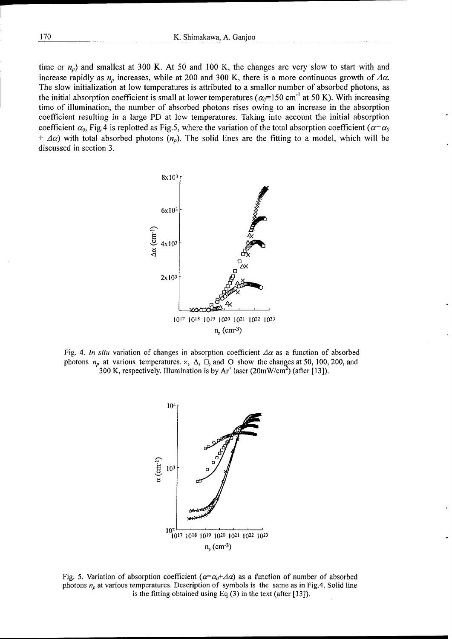time or  $n_p$ ) and smallest at 300 K. At 50 and 100 K, the changes are very slow to start with and increase rapidly as  $n_p$  increases, while at 200 and 300 K, there is a more continuous growth of  $\Delta \alpha$ . The slow initialization at low temperatures is attributed to a smaller number of absorbed photons, as the initial absorption coefficient is small at lower temperatures ( $\alpha_0$ =150 cm<sup>-1</sup> at 50 K). With increasing time of illumination, the number of absorbed photons rises owing to an increase in the absorption coefficient resulting in a large PD at low temperatures. Taking into account the initial absorption coefficient  $\alpha_0$ , Fig.4 is replotted as Fig.5, where the variation of the total absorption coefficient  $(\alpha = \alpha_0)$  $+$   $\Delta \alpha$ ) with total absorbed photons  $(n_n)$ . The solid lines are the fitting to a model, which will be discussed in section 3.



Fig. 4. *In situ variation of changes in absorption coefficient*  $\Delta \alpha$  as a function of absorbed photons  $n_p$  at various temperatures.  $\times$ ,  $\Delta$ ,  $\square$ , and O show the changes at 50, 100, 200, and 300 K, respectively. Illumination is by Ar<sup>+</sup> laser (20mW/cm<sup>2</sup>) (after [13]).



Fig. 5. Variation of absorption coefficient ( $\alpha = \alpha_0 + \Delta \alpha$ ) as a function of number of absorbed photons *n,,* at various temperatures. Description of symbols is the same as in Fig.4. Solid line is the fitting obtained using Eq. $(3)$  in the text (after [13]).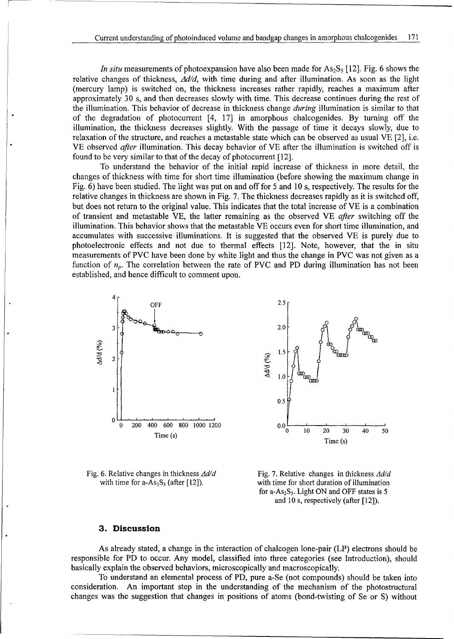*In situ* measurements of photoexpansion have also been made for  $As_2S_3$  [12]. Fig. 6 shows the relative changes of thickness,  $\Delta d/d$ , with time during and after illumination. As soon as the light (mercury lamp) is switched on, the thickness increases rather rapidly, reaches a maximum after approximately 30 s, and then decreases slowly with time. This decrease continues during the rest of the illumination. This behavior of decrease in thickness change *during* illumination is similar to that of the degradation of photocurrent [4, 17] in amorphous chalcogenides. By turning off the illumination, the thickness decreases slightly. With the passage of time it decays slowly, due to relaxation of the structure, and reaches a metastable state which can be observed as usual VE [2], i.e. VE observed after illumination. This decay behavior of VE after the illumination is switched off is found to be very similar to that of the decay of photocurrent [12].

To understand the behavior of the initial rapid increase of thickness in more detail, the changes of thickness with time for short time illumination (before showing the maximum change in Fig. 6) have been studied. The light was put on and off for 5 and 10 s, respectively. The results for the relative changes in thickness are shown in Fig. 7. The thickness decreases rapidly as it is switched off, but does not return to the original value. This indicates that the total increase of VE is a combination of transient and metastable VE, the latter remaining as the observed VE *after* switching off the illumination. This behavior shows that the metastable VE occurs even for short time illumination, and accumulates with successive illuminations. It is suggested that the observed VE is purely due to photoelectronic effects and not due to thermal effects [12]. Note, however, that the in situ measurements of PVC have been done by white light and thus the change in PVC was not given as a function of  $n_p$ . The correlation between the rate of PVC and PD during illumination has not been established, and hence difficult to comment upon.





Fig. 6. Relative changes in thickness  $\Delta d/d$  Fig. 7. Relative changes in thickness  $\Delta d/d$ 

with time for  $a-As_2S_3$  (after [12]). with time for short duration of illumination for  $a-As_2S_3$ . Light ON and OFF states is 5 and 10 s, respectively (after [12]).

### **3.** Discussion

As already stated, a change in the interaction of chalcogen lone-pair (LP) electrons should be responsible for PD to occur. Any model, classified into three categories (see Introduction), should basically explain the observed behaviors, microscopically and macroscopically.

To understand an elemental process of PD, pure a-Se (not compounds) should be taken into consideration. An important step in the understanding of the mechanism of the photostructural changes was the suggestion that changes in positions of atoms (bond-twisting of Se or **S)** without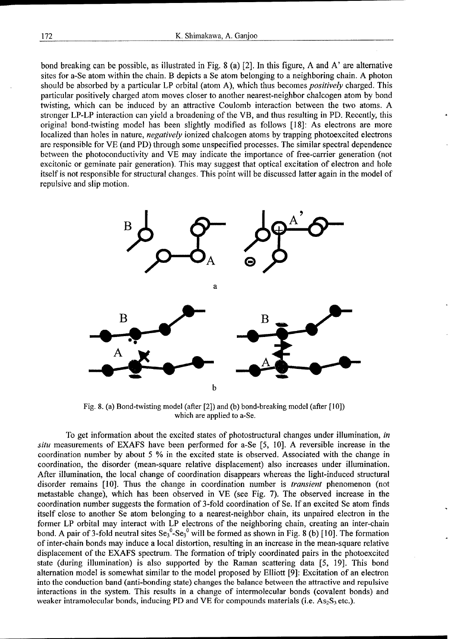bond breaking can be possible, as illustrated in Fig. 8 (a) [2]. In this figure, A and A' are alternative sites for a-Se atom within the chain. B depicts a Se atom belonging to a neighboring chain. A photon should be absorbed by a particular LP orbital (atom A), which thus becomes *positively* charged. This particular positively charged atom moves closer to another nearest-neighbor chalcogen atom by bond twisting, which can be induced by an attractive Coulomb interaction between the two atoms. A stronger LP-LP interaction can yield a broadening of the VB, and thus resulting in PD. Recently, this original bond-twisting model has been slightly modified as follows [18]: As electrons are more localized than holes in nature, *negatively* ionized chalcogen atoms by trapping photoexcited electrons are responsible for VE (and PD) through some unspecified processes. The similar spectral dependence between the photoconductivity and VE may indicate the importance of free-carrier generation (not excitonic or geminate pair generation). This may suggest that optical excitation of electron and hole itself is not responsible for structural changes. This point will be discussed latter again in the model of repulsive and slip motion.



Fig. 8. (a) Bond-twisting model (after [2]) and (b) bond-breaking model (after [10]) which are applied to a-Se.

To get information about the excited states of photostructural changes under illumination, in situ measurements of EXAFS have been performed for a-Se [5, 10]. A reversible increase in the coordination number by about 5 % in the excited state is observed. Associated with the change in coordination, the disorder (mean-square relative displacement) also increases under illumination. After illumination, the local change of coordination disappears whereas the light-induced structural disorder remains [10]. Thus the change in coordination number is *transient* phenomenon (not metastable change), which has been observed in VE (see Fig. **7).** The observed increase in the coordination number suggests the formation of 3-fold coordination of Se. If an excited Se atom finds itself close to another Se atom belonging to a nearest-neighbor chain, its unpaired electron in the former LP orbital may interact with LP electrons of the neighboring chain, creating an inter-chain bond. A pair of 3-fold neutral sites  $Se_3^0-Se_3^0$  will be formed as shown in Fig. 8 (b) [10]. The formation of inter-chain bonds may induce a local distortion, resulting in an increase in the mean-square relative displacement of the EXAFS spectrum. The formation of triply coordinated pairs in the photoexcited state (during illumination) is also supported by the Raman scattering data [5, 19]. This bond alternation model is somewhat similar to the model proposed by Elliott [9]: Excitation of an electron into the conduction band (anti-bonding state) changes the balance between the attractive and repulsive interactions in the system. This results in a change of intermolecular bonds (covalent bonds) and weaker intramolecular bonds, inducing PD and VE for compounds materials (i.e.  $As_2S_3$  etc.).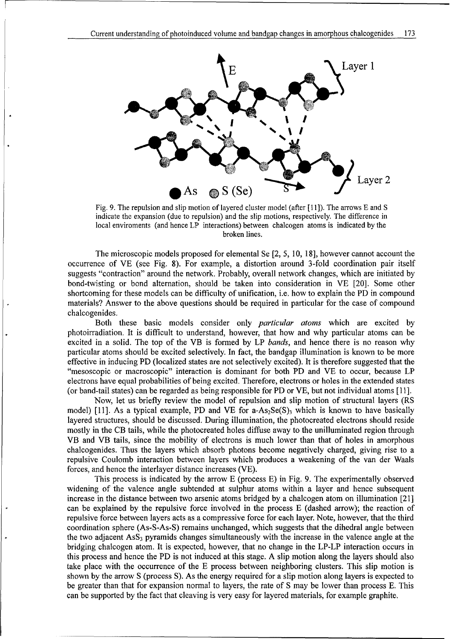

Fig. 9. The repulsion and slip motion of layered cluster model (after  $[11]$ ). The arrows E and S indicate the expansion (due to repulsion) and the slip motions, respectively. The difference in local enviroments (and hence LP interactions) between chalcogen atoms is indicated by the broken lines.

The microscopic models proposed for elemental  $S$   $\mathcal{L}$  for elemental  $S$   $\mathcal{L}$ The microscopic models proposed for elemental Se  $[2, 5, 10, 18]$ , however cannot account the occurrence of VE (see Fig. 8). For example, a distortion around 3-fold coordination pair itself suggests "contraction" around the network. Probably, overall network changes, which are initiated by bond-twisting or bond alternation, should be taken into consideration in VE [20]. Some other shortcoming for these models can be difficulty of unification, i.e. how to explain the PD in compound materials? Answer to the above questions should be required in particular for the case of compound chalcogenides.  $B_0$  these basic models consider only particular atoms which are excited by  $B_0$  are excited by  $B_1$ 

Both these basic models consider only *particular atoms* which are excited by photoirradiation. It is difficult to understand, however, that how and why particular atoms can be excited in a solid. The top of the VB is formed by LP bands, and hence there is no reason why particular atoms should be excited selectively. In fact, the bandgap illumination is known to be more effective in inducing PD (localized states are not selectively excited). It is therefore suggested that the "mesoscopic or macroscopic" interaction is dominant for both PD and VE to occur, because LP electrons have equal probabilities of being excited. Therefore, electrons or holes in the extended states (or band-tail states) can be regarded as being responsible for PD or VE, but not individual atoms [11].

Now, let us briefly review the model of repulsion and slip motion of structural layers (RS model) [11]. As a typical example, PD and VE for  $a$ -As<sub>2</sub>Se(S)<sub>3</sub> which is known to have basically layered structures, should be discussed. During illumination, the photocreated electrons should reside mostly in the CB tails, while the photocreated holes diffuse away to the unilluminated region through VB and VB tails, since the mobility of electrons is much lower than that of holes in amorphous chalcogenides. Thus the layers which absorb photons become negatively charged, giving rise to a repulsive Coulomb interaction between layers which produces a weakening of the van der Waals forces, and hence the interlayer distance increases (VE).

This process is indicated by the arrow E (process  $E$ ) in Fig. 9. The experimentally observed widening of the valence angle subtended at sulphur atoms within a layer and hence subsequent increase in the distance between two arsenic atoms bridged by a chalcogen atom on illumination [21] can be explained by the repulsive force involved in the process E (dashed arrow); the reaction of repulsive force between layers acts as a compressive force for each layer. Note, however, that the third coordination sphere (As-S-As-S) remains unchanged, which suggests that the dihedral angle between the two adjacent  $\text{Ass}_3$  pyramids changes simultaneously with the increase in the valence angle at the bridging chalcogen atom. It is expected, however, that no change in the LP-LP interaction occurs in this process and hence the PD is not induced at this stage. A slip motion along the layers should also take place with the occurrence of the E process between neighboring clusters. This slip motion is shown by the arrow S (process S). As the energy required for a slip motion along layers is expected to be greater than that for expansion normal to layers, the rate of S may be lower than process E. This can be supported by the fact that cleaving is very easy for layered materials, for example graphite.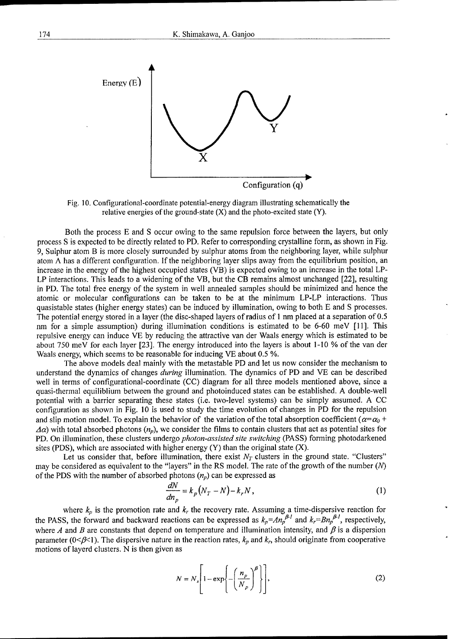

Fig. 10. Configurational-coordinate potential-energy diagram illustrating schematically the relative energies of the ground-state  $(X)$  and the photo-excited state  $(Y)$ .

Both the process E and S occur owing to the same repulsion force between the layers, but only process S is expected to be directly related to PD. Refer to corresponding crystalline form, as shown in Fig. 9, Sulphur atom B is more closely surrounded by sulphur atoms from the neighboring layer, while sulphur atom  $\Lambda$  has a different configuration. If the neighboring layer slips away from the equilibrium position, an increase in the energy of the highest occupied states (VB) is expected owing to an increase in the total LP-LP interactions. This leads to a widening of the VB, but the CB remains almost unchanged [22], resulting in PD. The total free energy of the system in well annealed samples should be minimized and hence the atomic or molecular configurations can be taken to be at the minimum LP-LP interactions. Thus quasistable states (higher energy states) can be induced by illumination, owing to both **E** and S processes. The potential energy stored in a layer (the disc-shaped layers of radius of **I** nm placed at a separation of 0.5 nm for a simple assumption) during illumination conditions is estimated to be 6-60 meV [11]. This repulsive energy can induce VE by reducing the attractive van der Waals energy which is estimated to be about 750 meV for each layer [23]. The energy introduced into the layers is about 1-10 % of the van der Waals energy, which seems to be reasonable for inducing VE about 0.5 %.

The above models deal mainly with the metastable PD and let us now consider the mechanism to understand the dynamics of changes during illumination. The dynamics of PD and VE can be described well in terms of configurational-coordinate (CC) diagram for all three models mentioned above, since a quasi-thermal equiliblium between the ground and photoinduced states can be established. A double-well potential with a barrier separating these states (i.e. two-level systems) can be simply assumed. A CC configuration as shown in Fig. 10 is used to study the time evolution of changes in PD for the repulsion and slip motion model. To explain the behavior of the variation of the total absorption coefficient  $(a=\alpha_0 + a\beta_0)$  $\Delta \alpha$ ) with total absorbed photons  $(n_p)$ , we consider the films to contain clusters that act as potential sites for PD. On illumination, these clusters undergo *photon-assisted site switching* (PASS) forming photodarkened sites (PDS), which are associated with higher energy (Y) than the original state (X).

Let us consider that, before illumination, there exist  $N_T$  clusters in the ground state. "Clusters" may be considered as equivalent to the "layers" in the RS model. The rate of the growth of the number  $(N)$ of the PDS with the number of absorbed photons  $(n_p)$  can be expressed as

$$
\frac{dN}{dn_p} = k_p \left( N_T - N \right) - k_r N \,, \tag{1}
$$

where  $k_p$  is the promotion rate and  $k_r$  the recovery rate. Assuming a time-dispersive reaction for the PASS, the forward and backward reactions can be expressed as  $k_p = An_p^{p-1}$  and  $k_r = Bn_p^{p-1}$ , respectively, where *A* and *B* are constants that depend on temperature and illumination intensity, and  $\beta$  is a dispersion parameter ( $0 < \beta < 1$ ). The dispersive nature in the reaction rates,  $k_p$  and  $k_r$ , should originate from cooperative motions of layerd clusters. N is then given as

$$
N = N_s \left[ 1 - \exp\left\{ -\left(\frac{n_p}{N_p}\right)^{\beta} \right\} \right],
$$
 (2)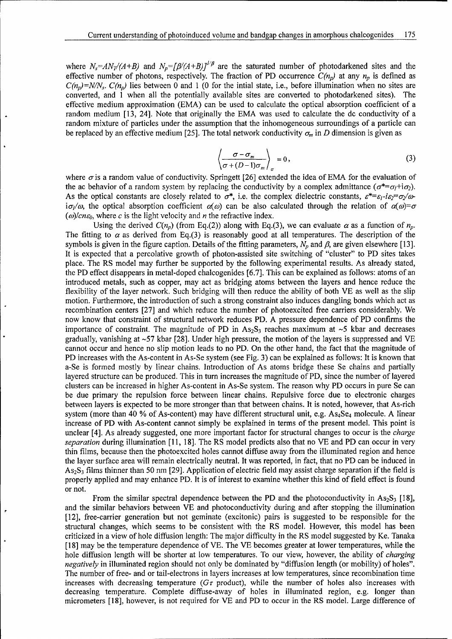where  $N_s = AN_T/(A+B)$  and  $N_p = [\beta/(A+B)]^{1/\beta}$  are the saturated number of photodarkened sites and the effective number of photons, respectively. The fraction of PD occurrence  $C(n_p)$  at any  $n_p$  is defined as  $C(n_p)$ =N/N<sub>s</sub>.  $C(n_p)$  lies between 0 and 1 (0 for the intial state, i.e., before illumination when no sites are converted, and 1 when all the potentially available sites are converted to photodarkened sites). The effective medium approximation (EMA) can be used to calculate the optical absorption coefficient of a random medium [13, 24]. Note that originally the EMA was used to calculate the dc conductivity of a random mixture of particles under the assumption that the inhomogeneous surroundings of a particle can be replaced by an effective medium [25]. The total network conductivity  $\sigma_m$  in D dimension is given as

$$
\left\langle \frac{\sigma - \sigma_m}{\sigma + (D - 1)\sigma_m} \right\rangle_{\sigma} = 0, \tag{3}
$$

where  $\sigma$  is a random value of conductivity. Springett [26] extended the idea of EMA for the evaluation of the ac behavior of a random system by replacing the conductivity by a complex admittance  $(\sigma^* = \sigma_l + i\sigma_2)$ . As the optical constants are closely related to  $\sigma^*$ , i.e. the complex dielectric constants,  $\varepsilon^* = \varepsilon_1 - i\varepsilon_2 = \sigma_2/\omega$  $i\sigma/\omega$ , the optical absorption coefficient  $\alpha(\omega)$  can be also calculated through the relation of  $\alpha(\omega) = \sigma$  $(\omega)/c n \varepsilon_0$ , where c is the light velocity and n the refractive index.

Using the derived  $C(n_p)$  (from Eq.(2)) along with Eq.(3), we can evaluate  $\alpha$  as a function of  $n_p$ . The fitting to  $\alpha$  as derived from Eq.(3) is reasonably good at all temperatures. The description of the symbols is given in the figure caption. Details of the fitting parameters,  $N_p$  and  $\beta$ , are given elsewhere [13]. It is expected that a percolative growth of photon-assisted site switching of "cluster" to PD sites takes place. The RS model may further be supported by the following experimental results. As already stated, the PD effect disappears in metal-doped chalcogenides [6.7]. This can be explained as follows: atoms of an introduced metals, such as copper, may act as bridging atoms between the layers and hence reduce the flexibility of the layer network. Such bridging will then reduce the ability of both VE as well as the slip motion. Furthermore, the introduction of such a strong constraint also induces dangling bonds which act as recombination centers [27] and which reduce the number of photoexcited free carriers considerably. We now know that constraint of structural network reduces PD. A pressure dependence of PD confirms the importance of constraint. The magnitude of PD in  $As_2S_3$  reaches maximum at  $\sim$ 5 kbar and decreases gradually, vanishing at **-57** kbar [28]. Under high pressure, the motion of the layers is suppressed and VE cannot occur and hence no slip motion leads to no PD. On the other hand, the fact that the magnitude of PD increases with the As-content in As-Se system (see Fig. 3) can be explained as follows: It is known that a-Se is formed mostly by linear chains. Introduction of As atoms bridge these Se chains and partially layered structure can be produced. This in turn increases the magnitude of PD, since the number of layered clusters can be increased in higher As-content in As-Se system. The reason why PD occurs in pure Se can be due primary the repulsion force between linear chains. Repulsive force due to electronic charges between layers is expected to be more stronger than that between chains. It is noted, however, that As-rich system (more than 40 % of As-content) may have different structural unit, e.g.  $\text{As}_4\text{Se}_4$  molecule. A linear increase of PD with As-content cannot simply be explained in terms of the present model. This point is unclear [4]. As already suggested, one more important factor for structural changes to occur is the *charge separation* during illumination [11, 18]. The RS model predicts also that no VE and PD can occur in very thin films, because then the photoexcited holes cannot diffuse away from the illuminated region and hence the layer surface area will remain electrically neutral. It was reported, in fact, that no PD can be induced in  $As<sub>2</sub>S<sub>3</sub>$  films thinner than 50 nm [29]. Application of electric field may assist charge separation if the field is properly applied and may enhance PD. It is of interest to examine whether this kind of field effect is found or not.

From the similar spectral dependence between the PD and the photoconductivity in  $As_2S_3$  [18], and the similar behaviors between VE and photoconductivity during and after stopping the illumination [12], free-carrier generation but not geminate (excitonic) pairs is suggested to be responsible for the structural changes, which seems to be consistent with the RS model. However, this model has been criticized in a view of hole diffusion length: The major difficulty in the RS model suggested by Ke. Tanaka [18] may be the temperature dependence of VE. The VE becomes greater at lower temperatures, while the hole diffusion length will be shorter at low temperatures. To our view, however, the ability of *charging negatively* in illuminated region should not only be dominated by "diffusion length (or mobility) of holes". The number of free- and or tail-electrons in layers increases at low temperatures, since recombination time increases with decreasing temperature ( $G\tau$  product), while the number of holes also increases with decreasing temperature. Complete diffuse-away of holes in illuminated region, e.g. longer than micrometers [18], however, is not required for VE and PD to occur in the RS model. Large difference of